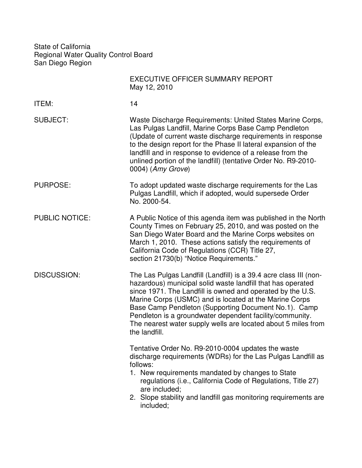State of California Regional Water Quality Control Board San Diego Region

|                       | <b>EXECUTIVE OFFICER SUMMARY REPORT</b><br>May 12, 2010                                                                                                                                                                                                                                                                                                                                                                                                        |
|-----------------------|----------------------------------------------------------------------------------------------------------------------------------------------------------------------------------------------------------------------------------------------------------------------------------------------------------------------------------------------------------------------------------------------------------------------------------------------------------------|
| ITEM:                 | 14                                                                                                                                                                                                                                                                                                                                                                                                                                                             |
| <b>SUBJECT:</b>       | Waste Discharge Requirements: United States Marine Corps,<br>Las Pulgas Landfill, Marine Corps Base Camp Pendleton<br>(Update of current waste discharge requirements in response<br>to the design report for the Phase II lateral expansion of the<br>landfill and in response to evidence of a release from the<br>unlined portion of the landfill) (tentative Order No. R9-2010-<br>0004) (Amy Grove)                                                       |
| PURPOSE:              | To adopt updated waste discharge requirements for the Las<br>Pulgas Landfill, which if adopted, would supersede Order<br>No. 2000-54.                                                                                                                                                                                                                                                                                                                          |
| <b>PUBLIC NOTICE:</b> | A Public Notice of this agenda item was published in the North<br>County Times on February 25, 2010, and was posted on the<br>San Diego Water Board and the Marine Corps websites on<br>March 1, 2010. These actions satisfy the requirements of<br>California Code of Regulations (CCR) Title 27,<br>section 21730(b) "Notice Requirements."                                                                                                                  |
| <b>DISCUSSION:</b>    | The Las Pulgas Landfill (Landfill) is a 39.4 acre class III (non-<br>hazardous) municipal solid waste landfill that has operated<br>since 1971. The Landfill is owned and operated by the U.S.<br>Marine Corps (USMC) and is located at the Marine Corps<br>Base Camp Pendleton (Supporting Document No.1). Camp<br>Pendleton is a groundwater dependent facility/community.<br>The nearest water supply wells are located about 5 miles from<br>the landfill. |
|                       | Tentative Order No. R9-2010-0004 updates the waste<br>discharge requirements (WDRs) for the Las Pulgas Landfill as<br>follows:<br>1. New requirements mandated by changes to State<br>regulations (i.e., California Code of Regulations, Title 27)<br>are included;<br>2. Slope stability and landfill gas monitoring requirements are<br>included;                                                                                                            |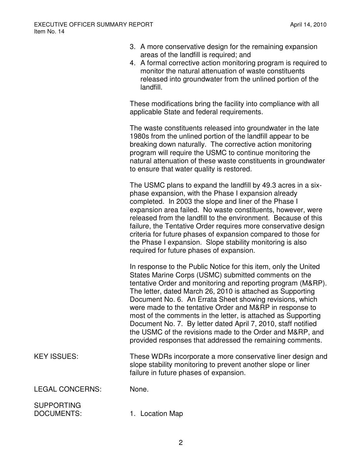- 3. A more conservative design for the remaining expansion areas of the landfill is required; and
- 4. A formal corrective action monitoring program is required to monitor the natural attenuation of waste constituents released into groundwater from the unlined portion of the landfill.

These modifications bring the facility into compliance with all applicable State and federal requirements.

 The waste constituents released into groundwater in the late 1980s from the unlined portion of the landfill appear to be breaking down naturally. The corrective action monitoring program will require the USMC to continue monitoring the natural attenuation of these waste constituents in groundwater to ensure that water quality is restored.

The USMC plans to expand the landfill by 49.3 acres in a sixphase expansion, with the Phase I expansion already completed. In 2003 the slope and liner of the Phase I expansion area failed. No waste constituents, however, were released from the landfill to the environment. Because of this failure, the Tentative Order requires more conservative design criteria for future phases of expansion compared to those for the Phase I expansion. Slope stability monitoring is also required for future phases of expansion.

 In response to the Public Notice for this item, only the United States Marine Corps (USMC) submitted comments on the tentative Order and monitoring and reporting program (M&RP). The letter, dated March 26, 2010 is attached as Supporting Document No. 6. An Errata Sheet showing revisions, which were made to the tentative Order and M&RP in response to most of the comments in the letter, is attached as Supporting Document No. 7. By letter dated April 7, 2010, staff notified the USMC of the revisions made to the Order and M&RP, and provided responses that addressed the remaining comments.

KEY ISSUES: These WDRs incorporate a more conservative liner design and slope stability monitoring to prevent another slope or liner failure in future phases of expansion.

LEGAL CONCERNS: None.

SUPPORTING

DOCUMENTS: 1. Location Map